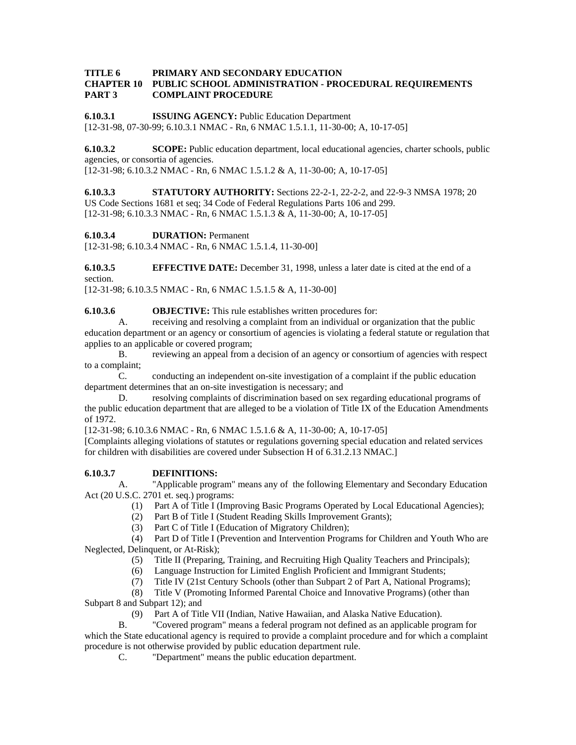#### **TITLE 6 PRIMARY AND SECONDARY EDUCATION CHAPTER 10 PUBLIC SCHOOL ADMINISTRATION - PROCEDURAL REQUIREMENTS PART 3 COMPLAINT PROCEDURE**

**6.10.3.1 ISSUING AGENCY:** Public Education Department [12-31-98, 07-30-99; 6.10.3.1 NMAC - Rn, 6 NMAC 1.5.1.1, 11-30-00; A, 10-17-05]

**6.10.3.2 SCOPE:** Public education department, local educational agencies, charter schools, public agencies, or consortia of agencies.

[12-31-98; 6.10.3.2 NMAC - Rn, 6 NMAC 1.5.1.2 & A, 11-30-00; A, 10-17-05]

**6.10.3.3 STATUTORY AUTHORITY:** Sections 22-2-1, 22-2-2, and 22-9-3 NMSA 1978; 20 US Code Sections 1681 et seq; 34 Code of Federal Regulations Parts 106 and 299. [12-31-98; 6.10.3.3 NMAC - Rn, 6 NMAC 1.5.1.3 & A, 11-30-00; A, 10-17-05]

**6.10.3.4 DURATION:** Permanent

[12-31-98; 6.10.3.4 NMAC - Rn, 6 NMAC 1.5.1.4, 11-30-00]

**6.10.3.5 EFFECTIVE DATE:** December 31, 1998, unless a later date is cited at the end of a section.

[12-31-98; 6.10.3.5 NMAC - Rn, 6 NMAC 1.5.1.5 & A, 11-30-00]

**6.10.3.6 OBJECTIVE:** This rule establishes written procedures for:

 A. receiving and resolving a complaint from an individual or organization that the public education department or an agency or consortium of agencies is violating a federal statute or regulation that applies to an applicable or covered program;

 B. reviewing an appeal from a decision of an agency or consortium of agencies with respect to a complaint;

 C. conducting an independent on-site investigation of a complaint if the public education department determines that an on-site investigation is necessary; and

 D. resolving complaints of discrimination based on sex regarding educational programs of the public education department that are alleged to be a violation of Title IX of the Education Amendments of 1972.

[12-31-98; 6.10.3.6 NMAC - Rn, 6 NMAC 1.5.1.6 & A, 11-30-00; A, 10-17-05]

[Complaints alleging violations of statutes or regulations governing special education and related services for children with disabilities are covered under Subsection H of 6.31.2.13 NMAC.]

## **6.10.3.7 DEFINITIONS:**

 A. "Applicable program" means any of the following Elementary and Secondary Education Act (20 U.S.C. 2701 et. seq.) programs:

- (1) Part A of Title I (Improving Basic Programs Operated by Local Educational Agencies);
- (2) Part B of Title I (Student Reading Skills Improvement Grants);
- (3) Part C of Title I (Education of Migratory Children);

 (4) Part D of Title I (Prevention and Intervention Programs for Children and Youth Who are Neglected, Delinquent, or At-Risk);

- (5) Title II (Preparing, Training, and Recruiting High Quality Teachers and Principals);
- (6) Language Instruction for Limited English Proficient and Immigrant Students;
- (7) Title IV (21st Century Schools (other than Subpart 2 of Part A, National Programs);
- (8) Title V (Promoting Informed Parental Choice and Innovative Programs) (other than

Subpart 8 and Subpart 12); and

(9) Part A of Title VII (Indian, Native Hawaiian, and Alaska Native Education).

 B. "Covered program" means a federal program not defined as an applicable program for which the State educational agency is required to provide a complaint procedure and for which a complaint procedure is not otherwise provided by public education department rule.

C. "Department" means the public education department.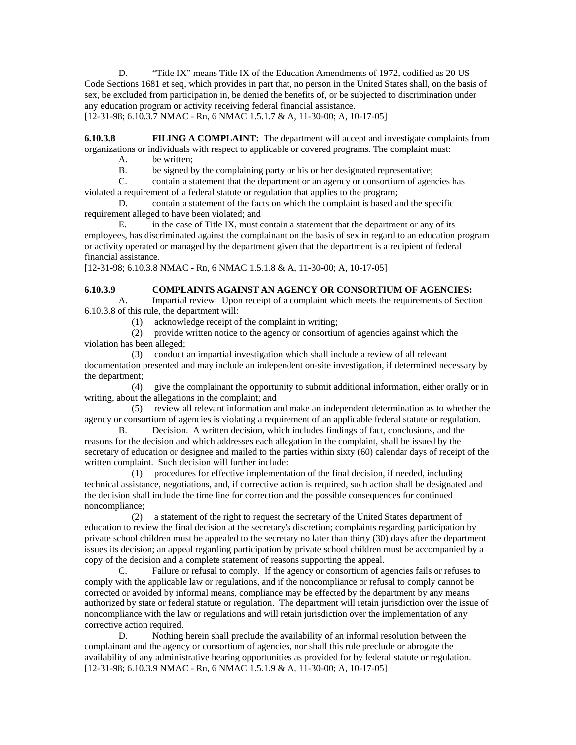D. "Title IX" means Title IX of the Education Amendments of 1972, codified as 20 US Code Sections 1681 et seq, which provides in part that, no person in the United States shall, on the basis of sex, be excluded from participation in, be denied the benefits of, or be subjected to discrimination under any education program or activity receiving federal financial assistance. [12-31-98; 6.10.3.7 NMAC - Rn, 6 NMAC 1.5.1.7 & A, 11-30-00; A, 10-17-05]

**6.10.3.8 FILING A COMPLAINT:** The department will accept and investigate complaints from organizations or individuals with respect to applicable or covered programs. The complaint must:

- A. be written;
- B. be signed by the complaining party or his or her designated representative;

 C. contain a statement that the department or an agency or consortium of agencies has violated a requirement of a federal statute or regulation that applies to the program;

 D. contain a statement of the facts on which the complaint is based and the specific requirement alleged to have been violated; and

 E. in the case of Title IX, must contain a statement that the department or any of its employees, has discriminated against the complainant on the basis of sex in regard to an education program or activity operated or managed by the department given that the department is a recipient of federal financial assistance.

[12-31-98; 6.10.3.8 NMAC - Rn, 6 NMAC 1.5.1.8 & A, 11-30-00; A, 10-17-05]

## **6.10.3.9 COMPLAINTS AGAINST AN AGENCY OR CONSORTIUM OF AGENCIES:**

 A. Impartial review. Upon receipt of a complaint which meets the requirements of Section 6.10.3.8 of this rule, the department will:

(1) acknowledge receipt of the complaint in writing;

 (2) provide written notice to the agency or consortium of agencies against which the violation has been alleged;

 (3) conduct an impartial investigation which shall include a review of all relevant documentation presented and may include an independent on-site investigation, if determined necessary by the department;

 (4) give the complainant the opportunity to submit additional information, either orally or in writing, about the allegations in the complaint; and

 (5) review all relevant information and make an independent determination as to whether the agency or consortium of agencies is violating a requirement of an applicable federal statute or regulation.

 B. Decision. A written decision, which includes findings of fact, conclusions, and the reasons for the decision and which addresses each allegation in the complaint, shall be issued by the secretary of education or designee and mailed to the parties within sixty (60) calendar days of receipt of the written complaint. Such decision will further include:

 (1) procedures for effective implementation of the final decision, if needed, including technical assistance, negotiations, and, if corrective action is required, such action shall be designated and the decision shall include the time line for correction and the possible consequences for continued noncompliance;

 (2) a statement of the right to request the secretary of the United States department of education to review the final decision at the secretary's discretion; complaints regarding participation by private school children must be appealed to the secretary no later than thirty (30) days after the department issues its decision; an appeal regarding participation by private school children must be accompanied by a copy of the decision and a complete statement of reasons supporting the appeal.

 C. Failure or refusal to comply. If the agency or consortium of agencies fails or refuses to comply with the applicable law or regulations, and if the noncompliance or refusal to comply cannot be corrected or avoided by informal means, compliance may be effected by the department by any means authorized by state or federal statute or regulation. The department will retain jurisdiction over the issue of noncompliance with the law or regulations and will retain jurisdiction over the implementation of any corrective action required.

 D. Nothing herein shall preclude the availability of an informal resolution between the complainant and the agency or consortium of agencies, nor shall this rule preclude or abrogate the availability of any administrative hearing opportunities as provided for by federal statute or regulation. [12-31-98; 6.10.3.9 NMAC - Rn, 6 NMAC 1.5.1.9 & A, 11-30-00; A, 10-17-05]